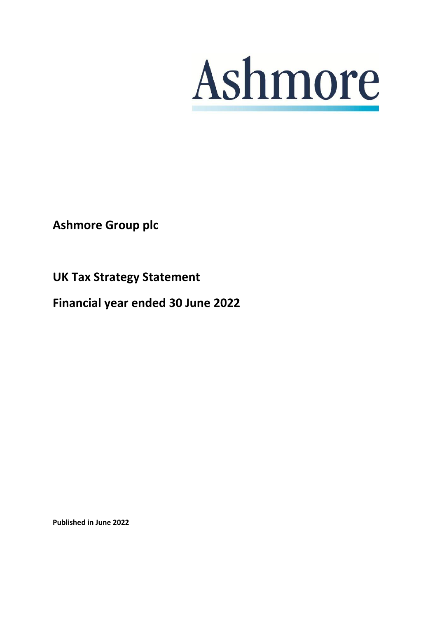

**Ashmore Group plc**

**UK Tax Strategy Statement** 

**Financial year ended 30 June 2022**

**Published in June 2022**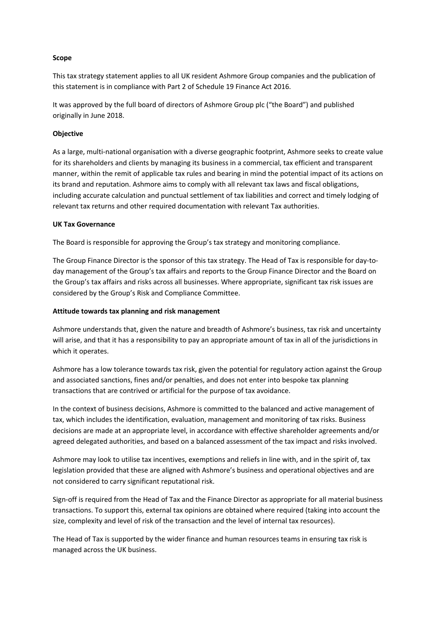# **Scope**

This tax strategy statement applies to all UK resident Ashmore Group companies and the publication of this statement is in compliance with Part 2 of Schedule 19 Finance Act 2016.

It was approved by the full board of directors of Ashmore Group plc ("the Board") and published originally in June 2018.

## **Objective**

As a large, multi-national organisation with a diverse geographic footprint, Ashmore seeks to create value for its shareholders and clients by managing its business in a commercial, tax efficient and transparent manner, within the remit of applicable tax rules and bearing in mind the potential impact of its actions on its brand and reputation. Ashmore aims to comply with all relevant tax laws and fiscal obligations, including accurate calculation and punctual settlement of tax liabilities and correct and timely lodging of relevant tax returns and other required documentation with relevant Tax authorities.

#### **UK Tax Governance**

The Board is responsible for approving the Group's tax strategy and monitoring compliance.

The Group Finance Director is the sponsor of this tax strategy. The Head of Tax is responsible for day-today management of the Group's tax affairs and reports to the Group Finance Director and the Board on the Group's tax affairs and risks across all businesses. Where appropriate, significant tax risk issues are considered by the Group's Risk and Compliance Committee.

### **Attitude towards tax planning and risk management**

Ashmore understands that, given the nature and breadth of Ashmore's business, tax risk and uncertainty will arise, and that it has a responsibility to pay an appropriate amount of tax in all of the jurisdictions in which it operates.

Ashmore has a low tolerance towards tax risk, given the potential for regulatory action against the Group and associated sanctions, fines and/or penalties, and does not enter into bespoke tax planning transactions that are contrived or artificial for the purpose of tax avoidance.

In the context of business decisions, Ashmore is committed to the balanced and active management of tax, which includes the identification, evaluation, management and monitoring of tax risks. Business decisions are made at an appropriate level, in accordance with effective shareholder agreements and/or agreed delegated authorities, and based on a balanced assessment of the tax impact and risks involved.

Ashmore may look to utilise tax incentives, exemptions and reliefs in line with, and in the spirit of, tax legislation provided that these are aligned with Ashmore's business and operational objectives and are not considered to carry significant reputational risk.

Sign-off is required from the Head of Tax and the Finance Director as appropriate for all material business transactions. To support this, external tax opinions are obtained where required (taking into account the size, complexity and level of risk of the transaction and the level of internal tax resources).

The Head of Tax is supported by the wider finance and human resources teams in ensuring tax risk is managed across the UK business.